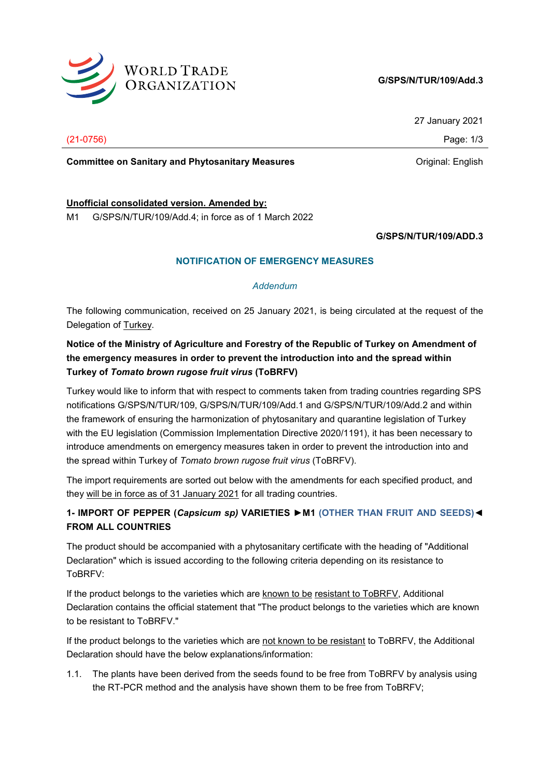

### **G/SPS/N/TUR/109/Add.3**

27 January 2021

(21-0756) Page: 1/3

**Committee on Sanitary and Phytosanitary Measures Committee on Sanitary and Phytosanitary Measures Committee Original:** English

#### **Unofficial consolidated version. Amended by:**

M1 G/SPS/N/TUR/109/Add.4; in force as of 1 March 2022

**G/SPS/N/TUR/109/ADD.3**

## **NOTIFICATION OF EMERGENCY MEASURES**

#### *Addendum*

The following communication, received on 25 January 2021, is being circulated at the request of the Delegation of Turkey.

# **Notice of the Ministry of Agriculture and Forestry of the Republic of Turkey on Amendment of the emergency measures in order to prevent the introduction into and the spread within Turkey of** *Tomato brown rugose fruit virus* **(ToBRFV)**

Turkey would like to inform that with respect to comments taken from trading countries regarding SPS notifications G/SPS/N/TUR/109, G/SPS/N/TUR/109/Add.1 and G/SPS/N/TUR/109/Add.2 and within the framework of ensuring the harmonization of phytosanitary and quarantine legislation of Turkey with the EU legislation (Commission Implementation Directive 2020/1191), it has been necessary to introduce amendments on emergency measures taken in order to prevent the introduction into and the spread within Turkey of *Tomato brown rugose fruit virus* (ToBRFV).

The import requirements are sorted out below with the amendments for each specified product, and they will be in force as of 31 January 2021 for all trading countries.

# **1- IMPORT OF PEPPER (***Capsicum sp)* **VARIETIES ►M1 (OTHER THAN FRUIT AND SEEDS)◄ FROM ALL COUNTRIES**

The product should be accompanied with a phytosanitary certificate with the heading of "Additional Declaration" which is issued according to the following criteria depending on its resistance to ToBRFV:

If the product belongs to the varieties which are known to be resistant to ToBRFV, Additional Declaration contains the official statement that "The product belongs to the varieties which are known to be resistant to ToBRFV."

If the product belongs to the varieties which are not known to be resistant to ToBRFV, the Additional Declaration should have the below explanations/information:

1.1. The plants have been derived from the seeds found to be free from ToBRFV by analysis using the RT-PCR method and the analysis have shown them to be free from ToBRFV;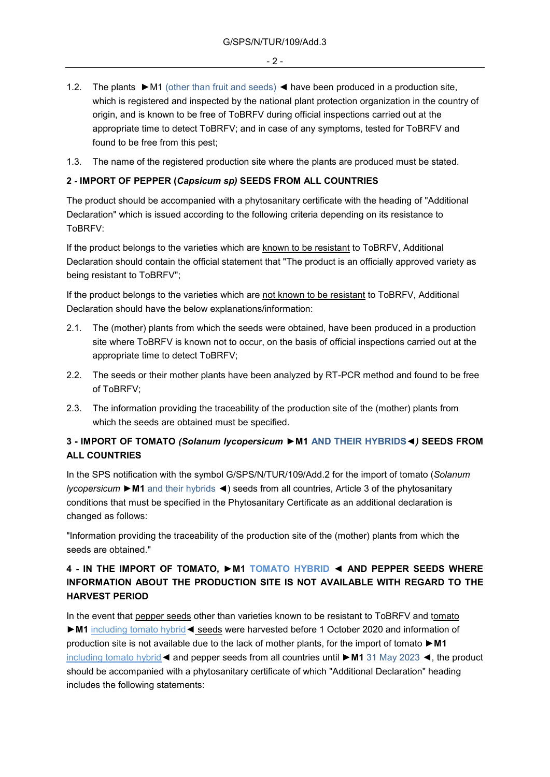- 1.2. The plants ►M1 (other than fruit and seeds) ◄ have been produced in a production site, which is registered and inspected by the national plant protection organization in the country of origin, and is known to be free of ToBRFV during official inspections carried out at the appropriate time to detect ToBRFV; and in case of any symptoms, tested for ToBRFV and found to be free from this pest;
- 1.3. The name of the registered production site where the plants are produced must be stated.

#### **2 - IMPORT OF PEPPER (***Capsicum sp)* **SEEDS FROM ALL COUNTRIES**

The product should be accompanied with a phytosanitary certificate with the heading of "Additional Declaration" which is issued according to the following criteria depending on its resistance to ToBRFV:

If the product belongs to the varieties which are known to be resistant to ToBRFV, Additional Declaration should contain the official statement that "The product is an officially approved variety as being resistant to ToBRFV";

If the product belongs to the varieties which are not known to be resistant to ToBRFV, Additional Declaration should have the below explanations/information:

- 2.1. The (mother) plants from which the seeds were obtained, have been produced in a production site where ToBRFV is known not to occur, on the basis of official inspections carried out at the appropriate time to detect ToBRFV;
- 2.2. The seeds or their mother plants have been analyzed by RT-PCR method and found to be free of ToBRFV;
- 2.3. The information providing the traceability of the production site of the (mother) plants from which the seeds are obtained must be specified.

## **3 - IMPORT OF TOMATO** *(Solanum lycopersicum* **►M1 AND THEIR HYBRIDS◄***)* **SEEDS FROM ALL COUNTRIES**

In the SPS notification with the symbol G/SPS/N/TUR/109/Add.2 for the import of tomato (*Solanum lycopersicum* ►**M1** and their hybrids ◄) seeds from all countries, Article 3 of the phytosanitary conditions that must be specified in the Phytosanitary Certificate as an additional declaration is changed as follows:

"Information providing the traceability of the production site of the (mother) plants from which the seeds are obtained."

# **4 - IN THE IMPORT OF TOMATO, ►M1 TOMATO HYBRID ◄ AND PEPPER SEEDS WHERE INFORMATION ABOUT THE PRODUCTION SITE IS NOT AVAILABLE WITH REGARD TO THE HARVEST PERIOD**

In the event that pepper seeds other than varieties known to be resistant to ToBRFV and tomato ►**M1** including tomato hybrid◄ seeds were harvested before 1 October 2020 and information of production site is not available due to the lack of mother plants, for the import of tomato ►**M1** including tomato hybrid◄ and pepper seeds from all countries until ►**M1** 31 May 2023 ◄, the product should be accompanied with a phytosanitary certificate of which "Additional Declaration" heading includes the following statements: